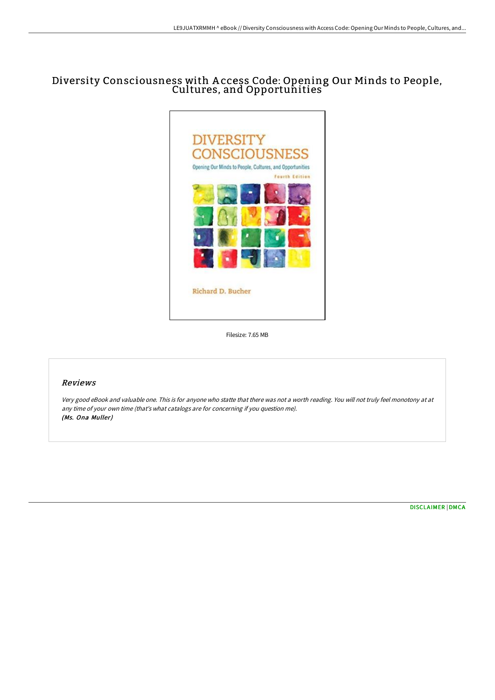# Diversity Consciousness with A ccess Code: Opening Our Minds to People, Cultures, and Opportunities`



Filesize: 7.65 MB

## Reviews

Very good eBook and valuable one. This is for anyone who statte that there was not <sup>a</sup> worth reading. You will not truly feel monotony at at any time of your own time (that's what catalogs are for concerning if you question me). (Ms. Ona Muller)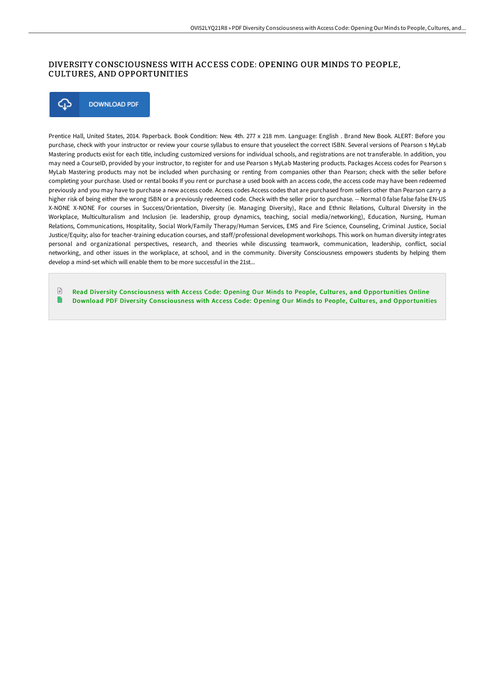## DIVERSITY CONSCIOUSNESS WITH ACCESS CODE: OPENING OUR MINDS TO PEOPLE, CULTURES, AND OPPORTUNITIES



Prentice Hall, United States, 2014. Paperback. Book Condition: New. 4th. 277 x 218 mm. Language: English . Brand New Book. ALERT: Before you purchase, check with your instructor or review your course syllabus to ensure that youselect the correct ISBN. Several versions of Pearson s MyLab Mastering products exist for each title, including customized versions for individual schools, and registrations are not transferable. In addition, you may need a CourseID, provided by your instructor, to register for and use Pearson s MyLab Mastering products. Packages Access codes for Pearson s MyLab Mastering products may not be included when purchasing or renting from companies other than Pearson; check with the seller before completing your purchase. Used or rental books If you rent or purchase a used book with an access code, the access code may have been redeemed previously and you may have to purchase a new access code. Access codes Access codes that are purchased from sellers other than Pearson carry a higher risk of being either the wrong ISBN or a previously redeemed code. Check with the seller prior to purchase. -- Normal 0 false false false EN-US X-NONE X-NONE For courses in Success/Orientation, Diversity (ie. Managing Diversity), Race and Ethnic Relations, Cultural Diversity in the Workplace, Multiculturalism and Inclusion (ie. leadership, group dynamics, teaching, social media/networking), Education, Nursing, Human Relations, Communications, Hospitality, Social Work/Family Therapy/Human Services, EMS and Fire Science, Counseling, Criminal Justice, Social Justice/Equity; also for teacher-training education courses, and staff/professional development workshops. This work on human diversity integrates personal and organizational perspectives, research, and theories while discussing teamwork, communication, leadership, conflict, social networking, and other issues in the workplace, at school, and in the community. Diversity Consciousness empowers students by helping them develop a mind-set which will enable them to be more successful in the 21st...

 $\Box$ Read Diversity [Consciousness](http://albedo.media/diversity-consciousness-with-access-code-opening.html) with Access Code: Opening Our Minds to People, Cultures, and Opportunities Online n Download PDF Diver sity [Consciousness](http://albedo.media/diversity-consciousness-with-access-code-opening.html) with Access Code: Opening Our Minds to People, Cultures, and Opportunities